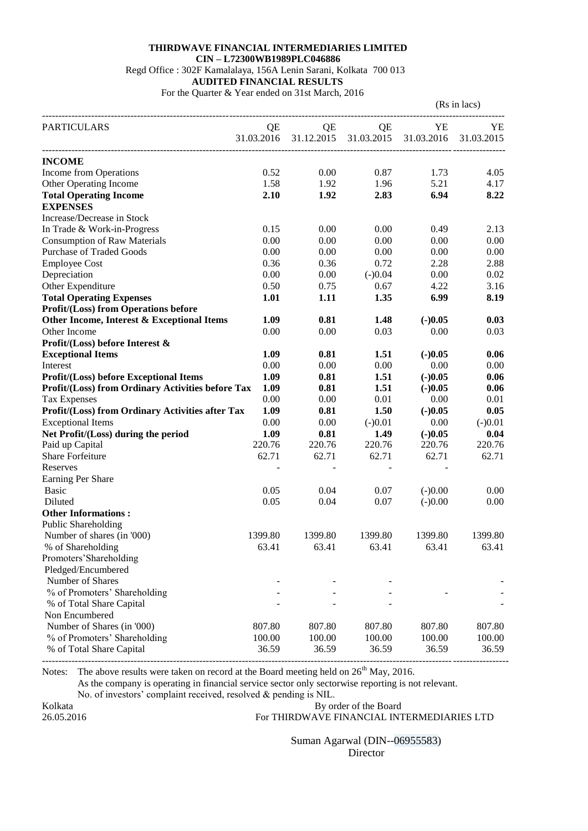## **THIRDWAVE FINANCIAL INTERMEDIARIES LIMITED CIN – L72300WB1989PLC046886** Regd Office : 302F Kamalalaya, 156A Lenin Sarani, Kolkata 700 013 **AUDITED FINANCIAL RESULTS** For the Quarter & Year ended on 31st March, 2016

| YE<br>QE<br>QE<br>QE<br>YE<br>31.12.2015 31.03.2015<br>31.03.2016<br>31.03.2016<br>31.03.2015<br><b>INCOME</b><br>Income from Operations<br>0.52<br>0.00<br>0.87<br>1.73<br>4.05<br>5.21<br>Other Operating Income<br>1.58<br>1.92<br>1.96<br>4.17<br>6.94<br><b>Total Operating Income</b><br>2.10<br>1.92<br>2.83<br>8.22<br><b>EXPENSES</b><br>Increase/Decrease in Stock<br>In Trade & Work-in-Progress<br>0.15<br>0.00<br>0.00<br>0.49<br>2.13<br>0.00<br>0.00<br>0.00<br>0.00<br><b>Consumption of Raw Materials</b><br>0.00<br><b>Purchase of Traded Goods</b><br>0.00<br>0.00<br>0.00<br>0.00<br>0.00<br>0.36<br>0.36<br>0.72<br>2.28<br>2.88<br><b>Employee Cost</b><br>0.00<br>0.00<br>Depreciation<br>0.00<br>$(-)0.04$<br>0.02<br>Other Expenditure<br>0.75<br>4.22<br>0.50<br>0.67<br>3.16<br><b>Total Operating Expenses</b><br>6.99<br>1.11<br>1.35<br>8.19<br>1.01<br><b>Profit/(Loss) from Operations before</b><br>Other Income, Interest & Exceptional Items<br>1.09<br>0.81<br>1.48<br>$(-)0.05$<br>0.03<br>Other Income<br>0.00<br>0.00<br>0.03<br>0.00<br>0.03<br>0.81<br>1.09<br>1.51<br>$(-)0.05$<br>0.06<br>0.00<br>0.00<br>0.00<br>0.00<br>0.00<br>1.09<br>0.81<br>1.51<br>$(-)0.05$<br>0.06<br>Profit/(Loss) from Ordinary Activities before Tax<br>1.09<br>0.81<br>1.51<br>$(-)0.05$<br>0.06<br>0.00<br>0.00<br>0.01<br><b>Tax Expenses</b><br>0.00<br>0.01<br>Profit/(Loss) from Ordinary Activities after Tax<br>1.09<br>0.81<br>1.50<br>$(-)0.05$<br>0.05<br><b>Exceptional Items</b><br>0.00<br>0.00<br>$(-)0.01$<br>0.00<br>$(-)0.01$<br>1.09<br>0.81<br>Net Profit/(Loss) during the period<br>1.49<br>$(-)0.05$<br>0.04<br>220.76<br>220.76<br>220.76<br>Paid up Capital<br>220.76<br>220.76<br><b>Share Forfeiture</b><br>62.71<br>62.71<br>62.71<br>62.71<br>62.71<br>Reserves<br>Earning Per Share<br>0.05<br><b>Basic</b><br>0.04<br>0.07<br>$(-)0.00$<br>0.00<br>Diluted<br>0.05<br>0.04<br>0.07<br>$(-)0.00$<br>0.00<br><b>Other Informations:</b><br>Public Shareholding<br>Number of shares (in '000)<br>1399.80<br>1399.80<br>1399.80<br>1399.80<br>1399.80<br>% of Shareholding<br>63.41<br>63.41<br>63.41<br>63.41<br>63.41<br>Promoters' Shareholding<br>Pledged/Encumbered<br>Number of Shares<br>% of Promoters' Shareholding<br>% of Total Share Capital<br>Non Encumbered<br>Number of Shares (in '000)<br>807.80<br>807.80<br>807.80<br>807.80<br>807.80<br>100.00<br>% of Promoters' Shareholding<br>100.00<br>100.00<br>100.00<br>100.00<br>36.59<br>36.59<br>36.59<br>% of Total Share Capital<br>36.59<br>36.59 |                                               |  | (Rs in lacs) |  |
|-------------------------------------------------------------------------------------------------------------------------------------------------------------------------------------------------------------------------------------------------------------------------------------------------------------------------------------------------------------------------------------------------------------------------------------------------------------------------------------------------------------------------------------------------------------------------------------------------------------------------------------------------------------------------------------------------------------------------------------------------------------------------------------------------------------------------------------------------------------------------------------------------------------------------------------------------------------------------------------------------------------------------------------------------------------------------------------------------------------------------------------------------------------------------------------------------------------------------------------------------------------------------------------------------------------------------------------------------------------------------------------------------------------------------------------------------------------------------------------------------------------------------------------------------------------------------------------------------------------------------------------------------------------------------------------------------------------------------------------------------------------------------------------------------------------------------------------------------------------------------------------------------------------------------------------------------------------------------------------------------------------------------------------------------------------------------------------------------------------------------------------------------------------------------------------------------------------------------------------------------------------------------------------------------------------------------------------------------------------------------------------------------------------------------------------------------------------------------------------------------------------------------------------------------------------------------|-----------------------------------------------|--|--------------|--|
|                                                                                                                                                                                                                                                                                                                                                                                                                                                                                                                                                                                                                                                                                                                                                                                                                                                                                                                                                                                                                                                                                                                                                                                                                                                                                                                                                                                                                                                                                                                                                                                                                                                                                                                                                                                                                                                                                                                                                                                                                                                                                                                                                                                                                                                                                                                                                                                                                                                                                                                                                                         | <b>PARTICULARS</b>                            |  |              |  |
|                                                                                                                                                                                                                                                                                                                                                                                                                                                                                                                                                                                                                                                                                                                                                                                                                                                                                                                                                                                                                                                                                                                                                                                                                                                                                                                                                                                                                                                                                                                                                                                                                                                                                                                                                                                                                                                                                                                                                                                                                                                                                                                                                                                                                                                                                                                                                                                                                                                                                                                                                                         |                                               |  |              |  |
|                                                                                                                                                                                                                                                                                                                                                                                                                                                                                                                                                                                                                                                                                                                                                                                                                                                                                                                                                                                                                                                                                                                                                                                                                                                                                                                                                                                                                                                                                                                                                                                                                                                                                                                                                                                                                                                                                                                                                                                                                                                                                                                                                                                                                                                                                                                                                                                                                                                                                                                                                                         |                                               |  |              |  |
|                                                                                                                                                                                                                                                                                                                                                                                                                                                                                                                                                                                                                                                                                                                                                                                                                                                                                                                                                                                                                                                                                                                                                                                                                                                                                                                                                                                                                                                                                                                                                                                                                                                                                                                                                                                                                                                                                                                                                                                                                                                                                                                                                                                                                                                                                                                                                                                                                                                                                                                                                                         |                                               |  |              |  |
|                                                                                                                                                                                                                                                                                                                                                                                                                                                                                                                                                                                                                                                                                                                                                                                                                                                                                                                                                                                                                                                                                                                                                                                                                                                                                                                                                                                                                                                                                                                                                                                                                                                                                                                                                                                                                                                                                                                                                                                                                                                                                                                                                                                                                                                                                                                                                                                                                                                                                                                                                                         |                                               |  |              |  |
|                                                                                                                                                                                                                                                                                                                                                                                                                                                                                                                                                                                                                                                                                                                                                                                                                                                                                                                                                                                                                                                                                                                                                                                                                                                                                                                                                                                                                                                                                                                                                                                                                                                                                                                                                                                                                                                                                                                                                                                                                                                                                                                                                                                                                                                                                                                                                                                                                                                                                                                                                                         |                                               |  |              |  |
|                                                                                                                                                                                                                                                                                                                                                                                                                                                                                                                                                                                                                                                                                                                                                                                                                                                                                                                                                                                                                                                                                                                                                                                                                                                                                                                                                                                                                                                                                                                                                                                                                                                                                                                                                                                                                                                                                                                                                                                                                                                                                                                                                                                                                                                                                                                                                                                                                                                                                                                                                                         |                                               |  |              |  |
|                                                                                                                                                                                                                                                                                                                                                                                                                                                                                                                                                                                                                                                                                                                                                                                                                                                                                                                                                                                                                                                                                                                                                                                                                                                                                                                                                                                                                                                                                                                                                                                                                                                                                                                                                                                                                                                                                                                                                                                                                                                                                                                                                                                                                                                                                                                                                                                                                                                                                                                                                                         |                                               |  |              |  |
|                                                                                                                                                                                                                                                                                                                                                                                                                                                                                                                                                                                                                                                                                                                                                                                                                                                                                                                                                                                                                                                                                                                                                                                                                                                                                                                                                                                                                                                                                                                                                                                                                                                                                                                                                                                                                                                                                                                                                                                                                                                                                                                                                                                                                                                                                                                                                                                                                                                                                                                                                                         |                                               |  |              |  |
|                                                                                                                                                                                                                                                                                                                                                                                                                                                                                                                                                                                                                                                                                                                                                                                                                                                                                                                                                                                                                                                                                                                                                                                                                                                                                                                                                                                                                                                                                                                                                                                                                                                                                                                                                                                                                                                                                                                                                                                                                                                                                                                                                                                                                                                                                                                                                                                                                                                                                                                                                                         |                                               |  |              |  |
|                                                                                                                                                                                                                                                                                                                                                                                                                                                                                                                                                                                                                                                                                                                                                                                                                                                                                                                                                                                                                                                                                                                                                                                                                                                                                                                                                                                                                                                                                                                                                                                                                                                                                                                                                                                                                                                                                                                                                                                                                                                                                                                                                                                                                                                                                                                                                                                                                                                                                                                                                                         |                                               |  |              |  |
|                                                                                                                                                                                                                                                                                                                                                                                                                                                                                                                                                                                                                                                                                                                                                                                                                                                                                                                                                                                                                                                                                                                                                                                                                                                                                                                                                                                                                                                                                                                                                                                                                                                                                                                                                                                                                                                                                                                                                                                                                                                                                                                                                                                                                                                                                                                                                                                                                                                                                                                                                                         |                                               |  |              |  |
|                                                                                                                                                                                                                                                                                                                                                                                                                                                                                                                                                                                                                                                                                                                                                                                                                                                                                                                                                                                                                                                                                                                                                                                                                                                                                                                                                                                                                                                                                                                                                                                                                                                                                                                                                                                                                                                                                                                                                                                                                                                                                                                                                                                                                                                                                                                                                                                                                                                                                                                                                                         |                                               |  |              |  |
|                                                                                                                                                                                                                                                                                                                                                                                                                                                                                                                                                                                                                                                                                                                                                                                                                                                                                                                                                                                                                                                                                                                                                                                                                                                                                                                                                                                                                                                                                                                                                                                                                                                                                                                                                                                                                                                                                                                                                                                                                                                                                                                                                                                                                                                                                                                                                                                                                                                                                                                                                                         |                                               |  |              |  |
|                                                                                                                                                                                                                                                                                                                                                                                                                                                                                                                                                                                                                                                                                                                                                                                                                                                                                                                                                                                                                                                                                                                                                                                                                                                                                                                                                                                                                                                                                                                                                                                                                                                                                                                                                                                                                                                                                                                                                                                                                                                                                                                                                                                                                                                                                                                                                                                                                                                                                                                                                                         |                                               |  |              |  |
|                                                                                                                                                                                                                                                                                                                                                                                                                                                                                                                                                                                                                                                                                                                                                                                                                                                                                                                                                                                                                                                                                                                                                                                                                                                                                                                                                                                                                                                                                                                                                                                                                                                                                                                                                                                                                                                                                                                                                                                                                                                                                                                                                                                                                                                                                                                                                                                                                                                                                                                                                                         |                                               |  |              |  |
|                                                                                                                                                                                                                                                                                                                                                                                                                                                                                                                                                                                                                                                                                                                                                                                                                                                                                                                                                                                                                                                                                                                                                                                                                                                                                                                                                                                                                                                                                                                                                                                                                                                                                                                                                                                                                                                                                                                                                                                                                                                                                                                                                                                                                                                                                                                                                                                                                                                                                                                                                                         |                                               |  |              |  |
|                                                                                                                                                                                                                                                                                                                                                                                                                                                                                                                                                                                                                                                                                                                                                                                                                                                                                                                                                                                                                                                                                                                                                                                                                                                                                                                                                                                                                                                                                                                                                                                                                                                                                                                                                                                                                                                                                                                                                                                                                                                                                                                                                                                                                                                                                                                                                                                                                                                                                                                                                                         |                                               |  |              |  |
|                                                                                                                                                                                                                                                                                                                                                                                                                                                                                                                                                                                                                                                                                                                                                                                                                                                                                                                                                                                                                                                                                                                                                                                                                                                                                                                                                                                                                                                                                                                                                                                                                                                                                                                                                                                                                                                                                                                                                                                                                                                                                                                                                                                                                                                                                                                                                                                                                                                                                                                                                                         | Profit/(Loss) before Interest $\&$            |  |              |  |
|                                                                                                                                                                                                                                                                                                                                                                                                                                                                                                                                                                                                                                                                                                                                                                                                                                                                                                                                                                                                                                                                                                                                                                                                                                                                                                                                                                                                                                                                                                                                                                                                                                                                                                                                                                                                                                                                                                                                                                                                                                                                                                                                                                                                                                                                                                                                                                                                                                                                                                                                                                         | <b>Exceptional Items</b>                      |  |              |  |
|                                                                                                                                                                                                                                                                                                                                                                                                                                                                                                                                                                                                                                                                                                                                                                                                                                                                                                                                                                                                                                                                                                                                                                                                                                                                                                                                                                                                                                                                                                                                                                                                                                                                                                                                                                                                                                                                                                                                                                                                                                                                                                                                                                                                                                                                                                                                                                                                                                                                                                                                                                         | Interest                                      |  |              |  |
|                                                                                                                                                                                                                                                                                                                                                                                                                                                                                                                                                                                                                                                                                                                                                                                                                                                                                                                                                                                                                                                                                                                                                                                                                                                                                                                                                                                                                                                                                                                                                                                                                                                                                                                                                                                                                                                                                                                                                                                                                                                                                                                                                                                                                                                                                                                                                                                                                                                                                                                                                                         | <b>Profit/(Loss) before Exceptional Items</b> |  |              |  |
|                                                                                                                                                                                                                                                                                                                                                                                                                                                                                                                                                                                                                                                                                                                                                                                                                                                                                                                                                                                                                                                                                                                                                                                                                                                                                                                                                                                                                                                                                                                                                                                                                                                                                                                                                                                                                                                                                                                                                                                                                                                                                                                                                                                                                                                                                                                                                                                                                                                                                                                                                                         |                                               |  |              |  |
|                                                                                                                                                                                                                                                                                                                                                                                                                                                                                                                                                                                                                                                                                                                                                                                                                                                                                                                                                                                                                                                                                                                                                                                                                                                                                                                                                                                                                                                                                                                                                                                                                                                                                                                                                                                                                                                                                                                                                                                                                                                                                                                                                                                                                                                                                                                                                                                                                                                                                                                                                                         |                                               |  |              |  |
|                                                                                                                                                                                                                                                                                                                                                                                                                                                                                                                                                                                                                                                                                                                                                                                                                                                                                                                                                                                                                                                                                                                                                                                                                                                                                                                                                                                                                                                                                                                                                                                                                                                                                                                                                                                                                                                                                                                                                                                                                                                                                                                                                                                                                                                                                                                                                                                                                                                                                                                                                                         |                                               |  |              |  |
|                                                                                                                                                                                                                                                                                                                                                                                                                                                                                                                                                                                                                                                                                                                                                                                                                                                                                                                                                                                                                                                                                                                                                                                                                                                                                                                                                                                                                                                                                                                                                                                                                                                                                                                                                                                                                                                                                                                                                                                                                                                                                                                                                                                                                                                                                                                                                                                                                                                                                                                                                                         |                                               |  |              |  |
|                                                                                                                                                                                                                                                                                                                                                                                                                                                                                                                                                                                                                                                                                                                                                                                                                                                                                                                                                                                                                                                                                                                                                                                                                                                                                                                                                                                                                                                                                                                                                                                                                                                                                                                                                                                                                                                                                                                                                                                                                                                                                                                                                                                                                                                                                                                                                                                                                                                                                                                                                                         |                                               |  |              |  |
|                                                                                                                                                                                                                                                                                                                                                                                                                                                                                                                                                                                                                                                                                                                                                                                                                                                                                                                                                                                                                                                                                                                                                                                                                                                                                                                                                                                                                                                                                                                                                                                                                                                                                                                                                                                                                                                                                                                                                                                                                                                                                                                                                                                                                                                                                                                                                                                                                                                                                                                                                                         |                                               |  |              |  |
|                                                                                                                                                                                                                                                                                                                                                                                                                                                                                                                                                                                                                                                                                                                                                                                                                                                                                                                                                                                                                                                                                                                                                                                                                                                                                                                                                                                                                                                                                                                                                                                                                                                                                                                                                                                                                                                                                                                                                                                                                                                                                                                                                                                                                                                                                                                                                                                                                                                                                                                                                                         |                                               |  |              |  |
|                                                                                                                                                                                                                                                                                                                                                                                                                                                                                                                                                                                                                                                                                                                                                                                                                                                                                                                                                                                                                                                                                                                                                                                                                                                                                                                                                                                                                                                                                                                                                                                                                                                                                                                                                                                                                                                                                                                                                                                                                                                                                                                                                                                                                                                                                                                                                                                                                                                                                                                                                                         |                                               |  |              |  |
|                                                                                                                                                                                                                                                                                                                                                                                                                                                                                                                                                                                                                                                                                                                                                                                                                                                                                                                                                                                                                                                                                                                                                                                                                                                                                                                                                                                                                                                                                                                                                                                                                                                                                                                                                                                                                                                                                                                                                                                                                                                                                                                                                                                                                                                                                                                                                                                                                                                                                                                                                                         |                                               |  |              |  |
|                                                                                                                                                                                                                                                                                                                                                                                                                                                                                                                                                                                                                                                                                                                                                                                                                                                                                                                                                                                                                                                                                                                                                                                                                                                                                                                                                                                                                                                                                                                                                                                                                                                                                                                                                                                                                                                                                                                                                                                                                                                                                                                                                                                                                                                                                                                                                                                                                                                                                                                                                                         |                                               |  |              |  |
|                                                                                                                                                                                                                                                                                                                                                                                                                                                                                                                                                                                                                                                                                                                                                                                                                                                                                                                                                                                                                                                                                                                                                                                                                                                                                                                                                                                                                                                                                                                                                                                                                                                                                                                                                                                                                                                                                                                                                                                                                                                                                                                                                                                                                                                                                                                                                                                                                                                                                                                                                                         |                                               |  |              |  |
|                                                                                                                                                                                                                                                                                                                                                                                                                                                                                                                                                                                                                                                                                                                                                                                                                                                                                                                                                                                                                                                                                                                                                                                                                                                                                                                                                                                                                                                                                                                                                                                                                                                                                                                                                                                                                                                                                                                                                                                                                                                                                                                                                                                                                                                                                                                                                                                                                                                                                                                                                                         |                                               |  |              |  |
|                                                                                                                                                                                                                                                                                                                                                                                                                                                                                                                                                                                                                                                                                                                                                                                                                                                                                                                                                                                                                                                                                                                                                                                                                                                                                                                                                                                                                                                                                                                                                                                                                                                                                                                                                                                                                                                                                                                                                                                                                                                                                                                                                                                                                                                                                                                                                                                                                                                                                                                                                                         |                                               |  |              |  |
|                                                                                                                                                                                                                                                                                                                                                                                                                                                                                                                                                                                                                                                                                                                                                                                                                                                                                                                                                                                                                                                                                                                                                                                                                                                                                                                                                                                                                                                                                                                                                                                                                                                                                                                                                                                                                                                                                                                                                                                                                                                                                                                                                                                                                                                                                                                                                                                                                                                                                                                                                                         |                                               |  |              |  |
|                                                                                                                                                                                                                                                                                                                                                                                                                                                                                                                                                                                                                                                                                                                                                                                                                                                                                                                                                                                                                                                                                                                                                                                                                                                                                                                                                                                                                                                                                                                                                                                                                                                                                                                                                                                                                                                                                                                                                                                                                                                                                                                                                                                                                                                                                                                                                                                                                                                                                                                                                                         |                                               |  |              |  |
|                                                                                                                                                                                                                                                                                                                                                                                                                                                                                                                                                                                                                                                                                                                                                                                                                                                                                                                                                                                                                                                                                                                                                                                                                                                                                                                                                                                                                                                                                                                                                                                                                                                                                                                                                                                                                                                                                                                                                                                                                                                                                                                                                                                                                                                                                                                                                                                                                                                                                                                                                                         |                                               |  |              |  |
|                                                                                                                                                                                                                                                                                                                                                                                                                                                                                                                                                                                                                                                                                                                                                                                                                                                                                                                                                                                                                                                                                                                                                                                                                                                                                                                                                                                                                                                                                                                                                                                                                                                                                                                                                                                                                                                                                                                                                                                                                                                                                                                                                                                                                                                                                                                                                                                                                                                                                                                                                                         |                                               |  |              |  |
|                                                                                                                                                                                                                                                                                                                                                                                                                                                                                                                                                                                                                                                                                                                                                                                                                                                                                                                                                                                                                                                                                                                                                                                                                                                                                                                                                                                                                                                                                                                                                                                                                                                                                                                                                                                                                                                                                                                                                                                                                                                                                                                                                                                                                                                                                                                                                                                                                                                                                                                                                                         |                                               |  |              |  |
|                                                                                                                                                                                                                                                                                                                                                                                                                                                                                                                                                                                                                                                                                                                                                                                                                                                                                                                                                                                                                                                                                                                                                                                                                                                                                                                                                                                                                                                                                                                                                                                                                                                                                                                                                                                                                                                                                                                                                                                                                                                                                                                                                                                                                                                                                                                                                                                                                                                                                                                                                                         |                                               |  |              |  |
|                                                                                                                                                                                                                                                                                                                                                                                                                                                                                                                                                                                                                                                                                                                                                                                                                                                                                                                                                                                                                                                                                                                                                                                                                                                                                                                                                                                                                                                                                                                                                                                                                                                                                                                                                                                                                                                                                                                                                                                                                                                                                                                                                                                                                                                                                                                                                                                                                                                                                                                                                                         |                                               |  |              |  |
|                                                                                                                                                                                                                                                                                                                                                                                                                                                                                                                                                                                                                                                                                                                                                                                                                                                                                                                                                                                                                                                                                                                                                                                                                                                                                                                                                                                                                                                                                                                                                                                                                                                                                                                                                                                                                                                                                                                                                                                                                                                                                                                                                                                                                                                                                                                                                                                                                                                                                                                                                                         |                                               |  |              |  |
|                                                                                                                                                                                                                                                                                                                                                                                                                                                                                                                                                                                                                                                                                                                                                                                                                                                                                                                                                                                                                                                                                                                                                                                                                                                                                                                                                                                                                                                                                                                                                                                                                                                                                                                                                                                                                                                                                                                                                                                                                                                                                                                                                                                                                                                                                                                                                                                                                                                                                                                                                                         |                                               |  |              |  |
|                                                                                                                                                                                                                                                                                                                                                                                                                                                                                                                                                                                                                                                                                                                                                                                                                                                                                                                                                                                                                                                                                                                                                                                                                                                                                                                                                                                                                                                                                                                                                                                                                                                                                                                                                                                                                                                                                                                                                                                                                                                                                                                                                                                                                                                                                                                                                                                                                                                                                                                                                                         |                                               |  |              |  |
|                                                                                                                                                                                                                                                                                                                                                                                                                                                                                                                                                                                                                                                                                                                                                                                                                                                                                                                                                                                                                                                                                                                                                                                                                                                                                                                                                                                                                                                                                                                                                                                                                                                                                                                                                                                                                                                                                                                                                                                                                                                                                                                                                                                                                                                                                                                                                                                                                                                                                                                                                                         |                                               |  |              |  |
|                                                                                                                                                                                                                                                                                                                                                                                                                                                                                                                                                                                                                                                                                                                                                                                                                                                                                                                                                                                                                                                                                                                                                                                                                                                                                                                                                                                                                                                                                                                                                                                                                                                                                                                                                                                                                                                                                                                                                                                                                                                                                                                                                                                                                                                                                                                                                                                                                                                                                                                                                                         |                                               |  |              |  |

Notes: The above results were taken on record at the Board meeting held on  $26<sup>th</sup>$  May, 2016.

As the company is operating in financial service sector only sectorwise reporting is not relevant.

No. of investors' complaint received, resolved & pending is NIL.

Kolkata By order of the Board<br>
26.05.2016 For THIRDWAVE FINANCIAL INT For THIRDWAVE FINANCIAL INTERMEDIARIES LTD

> Suman Agarwal (DIN--06955583) Director